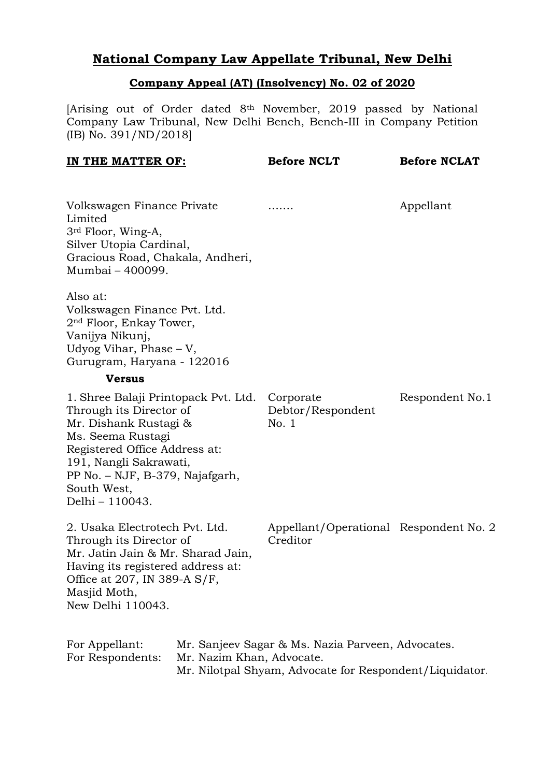## **National Company Law Appellate Tribunal, New Delhi**

## **Company Appeal (AT) (Insolvency) No. 02 of 2020**

[Arising out of Order dated 8th November, 2019 passed by National Company Law Tribunal, New Delhi Bench, Bench-III in Company Petition (IB) No. 391/ND/2018]

| IN THE MATTER OF:                                                                                                                                                                                                                                       | <b>Before NCLT</b>                                                                                           | <b>Before NCLAT</b> |
|---------------------------------------------------------------------------------------------------------------------------------------------------------------------------------------------------------------------------------------------------------|--------------------------------------------------------------------------------------------------------------|---------------------|
| Volkswagen Finance Private<br>Limited<br>3 <sup>rd</sup> Floor, Wing-A,<br>Silver Utopia Cardinal,<br>Gracious Road, Chakala, Andheri,<br>Mumbai – 400099.                                                                                              |                                                                                                              | Appellant           |
| Also at:<br>Volkswagen Finance Pvt. Ltd.<br>2 <sup>nd</sup> Floor, Enkay Tower,<br>Vanijya Nikunj,<br>Udyog Vihar, Phase $-V$ ,<br>Gurugram, Haryana - 122016                                                                                           |                                                                                                              |                     |
| <b>Versus</b>                                                                                                                                                                                                                                           |                                                                                                              |                     |
| 1. Shree Balaji Printopack Pvt. Ltd. Corporate<br>Through its Director of<br>Mr. Dishank Rustagi &<br>Ms. Seema Rustagi<br>Registered Office Address at:<br>191, Nangli Sakrawati,<br>PP No. – NJF, B-379, Najafgarh,<br>South West,<br>Delhi – 110043. | Debtor/Respondent<br>No. 1                                                                                   | Respondent No.1     |
| 2. Usaka Electrotech Pvt. Ltd.<br>Through its Director of<br>Mr. Jatin Jain & Mr. Sharad Jain,<br>Having its registered address at:<br>Office at 207, IN 389-A S/F,<br>Masjid Moth,<br>New Delhi 110043.                                                | Appellant/Operational Respondent No. 2<br>Creditor                                                           |                     |
| For Appellant:<br>For Respondents:<br>Mr. Nazim Khan, Advocate.                                                                                                                                                                                         | Mr. Sanjeev Sagar & Ms. Nazia Parveen, Advocates.<br>Mr. Nilotpal Shyam, Advocate for Respondent/Liquidator. |                     |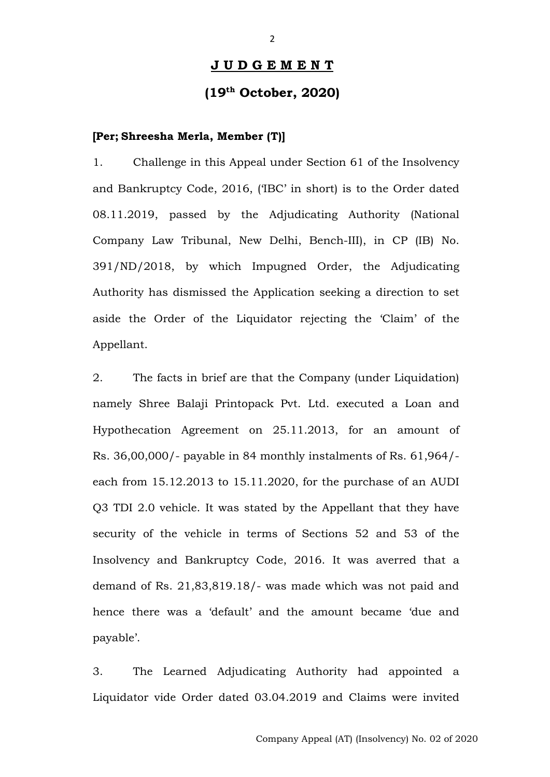#### **J U D G E M E N T**

### **(19th October, 2020)**

#### **[Per; Shreesha Merla, Member (T)]**

1. Challenge in this Appeal under Section 61 of the Insolvency and Bankruptcy Code, 2016, ('IBC' in short) is to the Order dated 08.11.2019, passed by the Adjudicating Authority (National Company Law Tribunal, New Delhi, Bench-III), in CP (IB) No. 391/ND/2018, by which Impugned Order, the Adjudicating Authority has dismissed the Application seeking a direction to set aside the Order of the Liquidator rejecting the 'Claim' of the Appellant.

2. The facts in brief are that the Company (under Liquidation) namely Shree Balaji Printopack Pvt. Ltd. executed a Loan and Hypothecation Agreement on 25.11.2013, for an amount of Rs. 36,00,000/- payable in 84 monthly instalments of Rs. 61,964/ each from 15.12.2013 to 15.11.2020, for the purchase of an AUDI Q3 TDI 2.0 vehicle. It was stated by the Appellant that they have security of the vehicle in terms of Sections 52 and 53 of the Insolvency and Bankruptcy Code, 2016. It was averred that a demand of Rs. 21,83,819.18/- was made which was not paid and hence there was a 'default' and the amount became 'due and payable'.

3. The Learned Adjudicating Authority had appointed a Liquidator vide Order dated 03.04.2019 and Claims were invited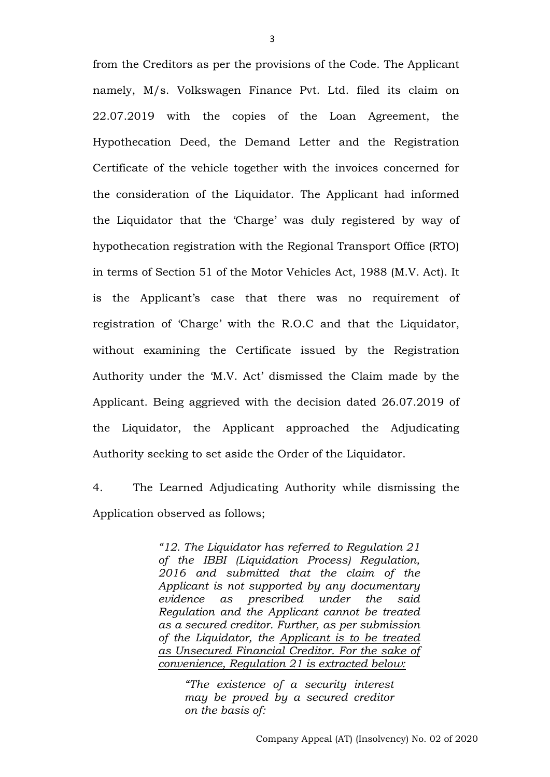from the Creditors as per the provisions of the Code. The Applicant namely, M/s. Volkswagen Finance Pvt. Ltd. filed its claim on 22.07.2019 with the copies of the Loan Agreement, the Hypothecation Deed, the Demand Letter and the Registration Certificate of the vehicle together with the invoices concerned for the consideration of the Liquidator. The Applicant had informed the Liquidator that the 'Charge' was duly registered by way of hypothecation registration with the Regional Transport Office (RTO) in terms of Section 51 of the Motor Vehicles Act, 1988 (M.V. Act). It is the Applicant's case that there was no requirement of registration of 'Charge' with the R.O.C and that the Liquidator, without examining the Certificate issued by the Registration Authority under the 'M.V. Act' dismissed the Claim made by the Applicant. Being aggrieved with the decision dated 26.07.2019 of the Liquidator, the Applicant approached the Adjudicating Authority seeking to set aside the Order of the Liquidator.

4. The Learned Adjudicating Authority while dismissing the Application observed as follows;

> *"12. The Liquidator has referred to Regulation 21 of the IBBI (Liquidation Process) Regulation, 2016 and submitted that the claim of the Applicant is not supported by any documentary evidence as prescribed under the said Regulation and the Applicant cannot be treated as a secured creditor. Further, as per submission of the Liquidator, the Applicant is to be treated as Unsecured Financial Creditor. For the sake of convenience, Regulation 21 is extracted below:*

> > *"The existence of a security interest may be proved by a secured creditor on the basis of:*

3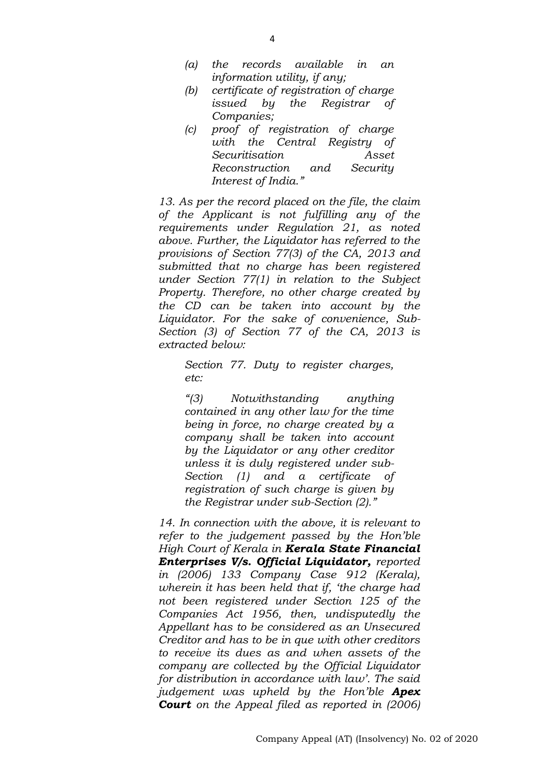- *(a) the records available in an information utility, if any;*
- *(b) certificate of registration of charge issued by the Registrar of Companies;*
- *(c) proof of registration of charge with the Central Registry of Securitisation Asset Reconstruction and Security Interest of India."*

*13. As per the record placed on the file, the claim of the Applicant is not fulfilling any of the requirements under Regulation 21, as noted above. Further, the Liquidator has referred to the provisions of Section 77(3) of the CA, 2013 and submitted that no charge has been registered under Section 77(1) in relation to the Subject Property. Therefore, no other charge created by the CD can be taken into account by the Liquidator. For the sake of convenience, Sub-Section (3) of Section 77 of the CA, 2013 is extracted below:*

*Section 77. Duty to register charges, etc:*

*"(3) Notwithstanding anything contained in any other law for the time being in force, no charge created by a company shall be taken into account by the Liquidator or any other creditor unless it is duly registered under sub-Section (1) and a certificate of registration of such charge is given by the Registrar under sub-Section (2)."*

*14. In connection with the above, it is relevant to refer to the judgement passed by the Hon'ble High Court of Kerala in Kerala State Financial Enterprises V/s. Official Liquidator, reported in (2006) 133 Company Case 912 (Kerala), wherein it has been held that if, 'the charge had not been registered under Section 125 of the Companies Act 1956, then, undisputedly the Appellant has to be considered as an Unsecured Creditor and has to be in que with other creditors to receive its dues as and when assets of the company are collected by the Official Liquidator for distribution in accordance with law'. The said judgement was upheld by the Hon'ble Apex Court on the Appeal filed as reported in (2006)*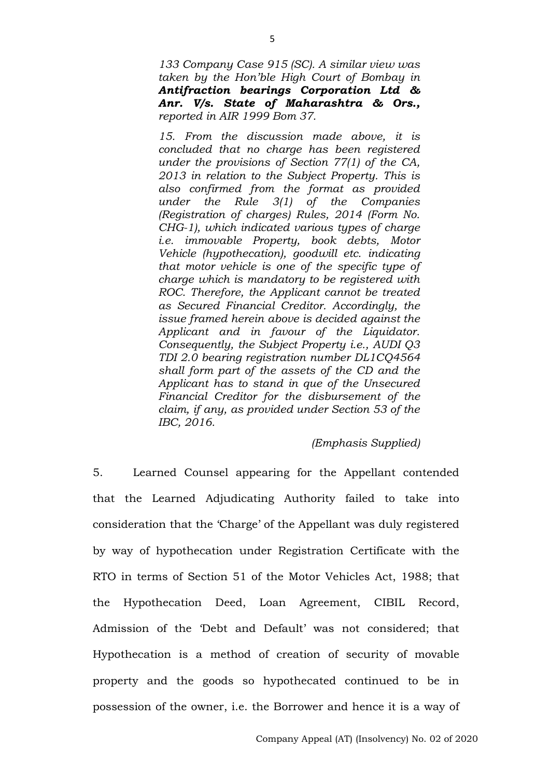*133 Company Case 915 (SC). A similar view was taken by the Hon'ble High Court of Bombay in Antifraction bearings Corporation Ltd & Anr. V/s. State of Maharashtra & Ors., reported in AIR 1999 Bom 37.*

*15. From the discussion made above, it is concluded that no charge has been registered under the provisions of Section 77(1) of the CA, 2013 in relation to the Subject Property. This is also confirmed from the format as provided under the Rule 3(1) of the Companies (Registration of charges) Rules, 2014 (Form No. CHG-1), which indicated various types of charge i.e. immovable Property, book debts, Motor Vehicle (hypothecation), goodwill etc. indicating that motor vehicle is one of the specific type of charge which is mandatory to be registered with ROC. Therefore, the Applicant cannot be treated as Secured Financial Creditor. Accordingly, the issue framed herein above is decided against the Applicant and in favour of the Liquidator. Consequently, the Subject Property i.e., AUDI Q3 TDI 2.0 bearing registration number DL1CQ4564 shall form part of the assets of the CD and the Applicant has to stand in que of the Unsecured Financial Creditor for the disbursement of the claim, if any, as provided under Section 53 of the IBC, 2016.*

#### *(Emphasis Supplied)*

5. Learned Counsel appearing for the Appellant contended that the Learned Adjudicating Authority failed to take into consideration that the 'Charge' of the Appellant was duly registered by way of hypothecation under Registration Certificate with the RTO in terms of Section 51 of the Motor Vehicles Act, 1988; that the Hypothecation Deed, Loan Agreement, CIBIL Record, Admission of the 'Debt and Default' was not considered; that Hypothecation is a method of creation of security of movable property and the goods so hypothecated continued to be in possession of the owner, i.e. the Borrower and hence it is a way of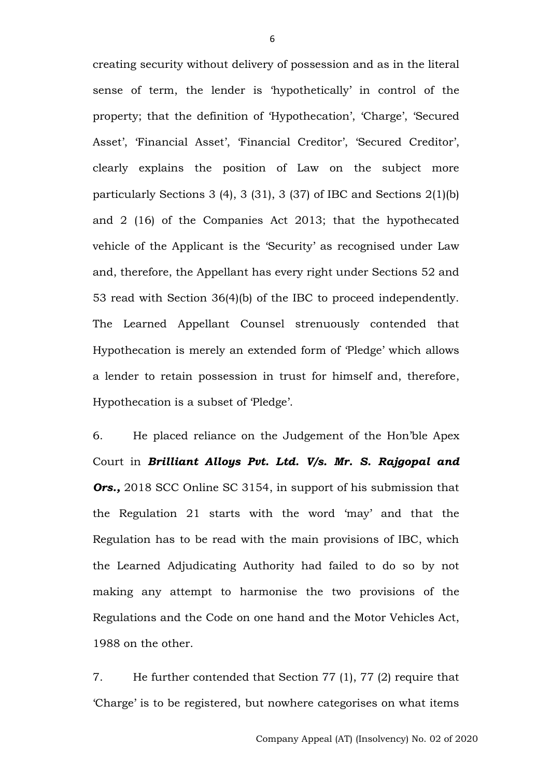creating security without delivery of possession and as in the literal sense of term, the lender is 'hypothetically' in control of the property; that the definition of 'Hypothecation', 'Charge', 'Secured Asset', 'Financial Asset', 'Financial Creditor', 'Secured Creditor', clearly explains the position of Law on the subject more particularly Sections 3 (4), 3 (31), 3 (37) of IBC and Sections 2(1)(b) and 2 (16) of the Companies Act 2013; that the hypothecated vehicle of the Applicant is the 'Security' as recognised under Law and, therefore, the Appellant has every right under Sections 52 and 53 read with Section 36(4)(b) of the IBC to proceed independently. The Learned Appellant Counsel strenuously contended that Hypothecation is merely an extended form of 'Pledge' which allows a lender to retain possession in trust for himself and, therefore, Hypothecation is a subset of 'Pledge'.

6. He placed reliance on the Judgement of the Hon'ble Apex Court in *Brilliant Alloys Pvt. Ltd. V/s. Mr. S. Rajgopal and Ors.,* 2018 SCC Online SC 3154, in support of his submission that the Regulation 21 starts with the word 'may' and that the Regulation has to be read with the main provisions of IBC, which the Learned Adjudicating Authority had failed to do so by not making any attempt to harmonise the two provisions of the Regulations and the Code on one hand and the Motor Vehicles Act, 1988 on the other.

7. He further contended that Section 77 (1), 77 (2) require that 'Charge' is to be registered, but nowhere categorises on what items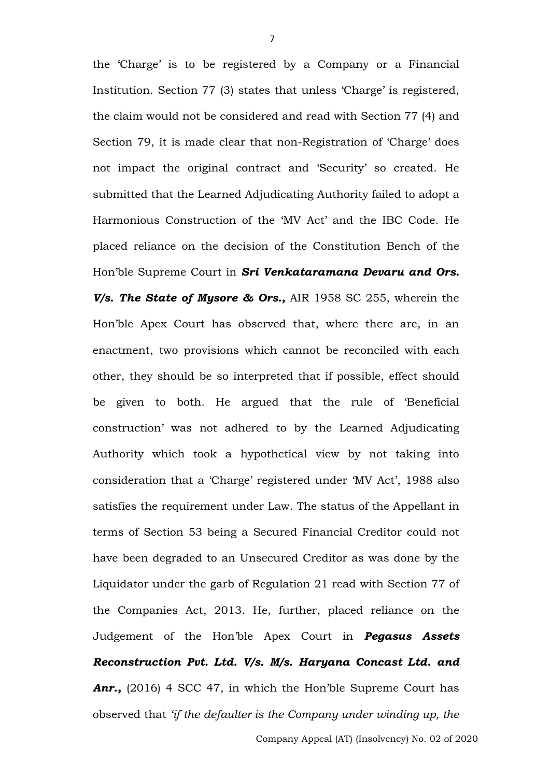the 'Charge' is to be registered by a Company or a Financial Institution. Section 77 (3) states that unless 'Charge' is registered, the claim would not be considered and read with Section 77 (4) and Section 79, it is made clear that non-Registration of 'Charge' does not impact the original contract and 'Security' so created. He submitted that the Learned Adjudicating Authority failed to adopt a Harmonious Construction of the 'MV Act' and the IBC Code. He placed reliance on the decision of the Constitution Bench of the Hon'ble Supreme Court in *Sri Venkataramana Devaru and Ors. V/s. The State of Mysore & Ors.,* AIR 1958 SC 255, wherein the Hon'ble Apex Court has observed that, where there are, in an enactment, two provisions which cannot be reconciled with each other, they should be so interpreted that if possible, effect should be given to both. He argued that the rule of 'Beneficial construction' was not adhered to by the Learned Adjudicating Authority which took a hypothetical view by not taking into consideration that a 'Charge' registered under 'MV Act', 1988 also satisfies the requirement under Law. The status of the Appellant in terms of Section 53 being a Secured Financial Creditor could not have been degraded to an Unsecured Creditor as was done by the Liquidator under the garb of Regulation 21 read with Section 77 of the Companies Act, 2013. He, further, placed reliance on the Judgement of the Hon'ble Apex Court in *Pegasus Assets Reconstruction Pvt. Ltd. V/s. M/s. Haryana Concast Ltd. and*  Anr., (2016) 4 SCC 47, in which the Hon'ble Supreme Court has observed that *'if the defaulter is the Company under winding up, the*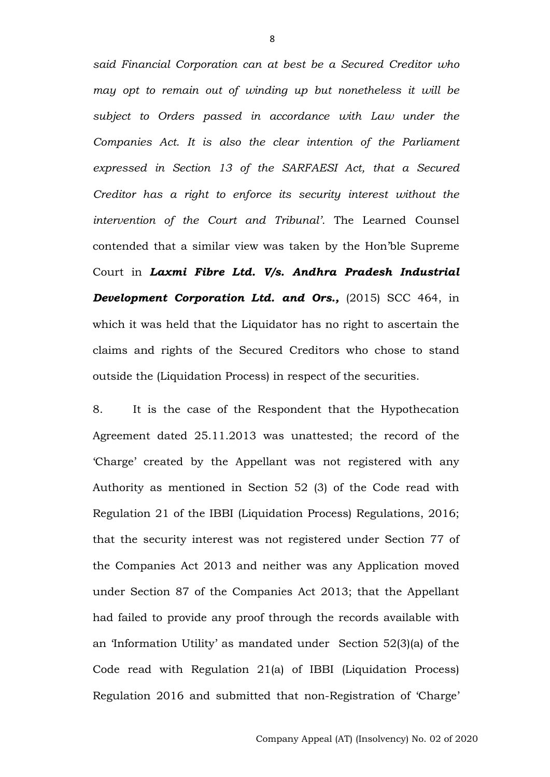*said Financial Corporation can at best be a Secured Creditor who may opt to remain out of winding up but nonetheless it will be subject to Orders passed in accordance with Law under the Companies Act. It is also the clear intention of the Parliament expressed in Section 13 of the SARFAESI Act, that a Secured Creditor has a right to enforce its security interest without the intervention of the Court and Tribunal'.* The Learned Counsel contended that a similar view was taken by the Hon'ble Supreme Court in *Laxmi Fibre Ltd. V/s. Andhra Pradesh Industrial Development Corporation Ltd. and Ors.,* (2015) SCC 464, in which it was held that the Liquidator has no right to ascertain the claims and rights of the Secured Creditors who chose to stand outside the (Liquidation Process) in respect of the securities.

8. It is the case of the Respondent that the Hypothecation Agreement dated 25.11.2013 was unattested; the record of the 'Charge' created by the Appellant was not registered with any Authority as mentioned in Section 52 (3) of the Code read with Regulation 21 of the IBBI (Liquidation Process) Regulations, 2016; that the security interest was not registered under Section 77 of the Companies Act 2013 and neither was any Application moved under Section 87 of the Companies Act 2013; that the Appellant had failed to provide any proof through the records available with an 'Information Utility' as mandated under Section 52(3)(a) of the Code read with Regulation 21(a) of IBBI (Liquidation Process) Regulation 2016 and submitted that non-Registration of 'Charge'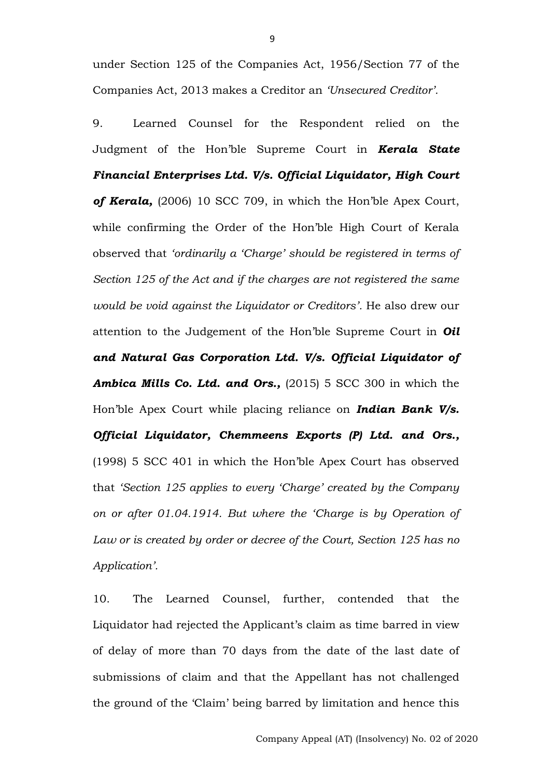under Section 125 of the Companies Act, 1956/Section 77 of the Companies Act, 2013 makes a Creditor an *'Unsecured Creditor'.*

9. Learned Counsel for the Respondent relied on the Judgment of the Hon'ble Supreme Court in *Kerala State Financial Enterprises Ltd. V/s. Official Liquidator, High Court*  of Kerala, (2006) 10 SCC 709, in which the Hon'ble Apex Court, while confirming the Order of the Hon'ble High Court of Kerala observed that *'ordinarily a 'Charge' should be registered in terms of Section 125 of the Act and if the charges are not registered the same would be void against the Liquidator or Creditors'.* He also drew our attention to the Judgement of the Hon'ble Supreme Court in *Oil and Natural Gas Corporation Ltd. V/s. Official Liquidator of Ambica Mills Co. Ltd. and Ors.,* (2015) 5 SCC 300 in which the Hon'ble Apex Court while placing reliance on *Indian Bank V/s. Official Liquidator, Chemmeens Exports (P) Ltd. and Ors.,* (1998) 5 SCC 401 in which the Hon'ble Apex Court has observed that *'Section 125 applies to every 'Charge' created by the Company on or after 01.04.1914. But where the 'Charge is by Operation of Law or is created by order or decree of the Court, Section 125 has no Application'.*

10. The Learned Counsel, further, contended that the Liquidator had rejected the Applicant's claim as time barred in view of delay of more than 70 days from the date of the last date of submissions of claim and that the Appellant has not challenged the ground of the 'Claim' being barred by limitation and hence this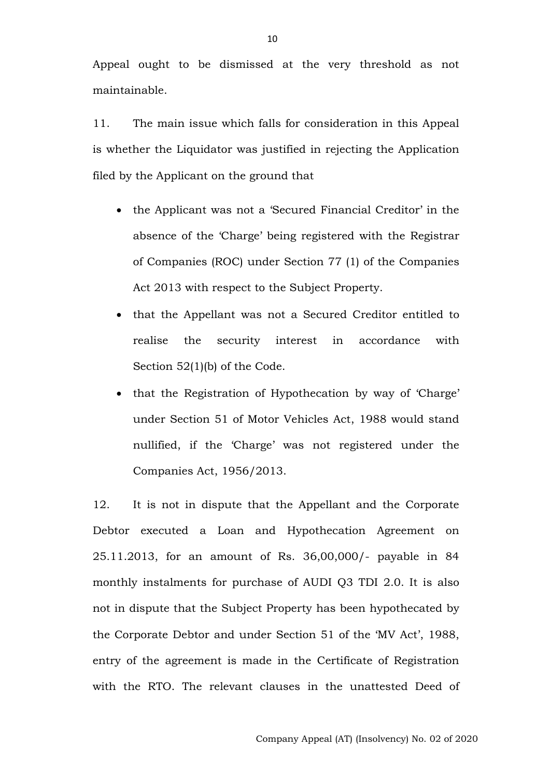Appeal ought to be dismissed at the very threshold as not maintainable.

11. The main issue which falls for consideration in this Appeal is whether the Liquidator was justified in rejecting the Application filed by the Applicant on the ground that

- the Applicant was not a 'Secured Financial Creditor' in the absence of the 'Charge' being registered with the Registrar of Companies (ROC) under Section 77 (1) of the Companies Act 2013 with respect to the Subject Property.
- that the Appellant was not a Secured Creditor entitled to realise the security interest in accordance with Section 52(1)(b) of the Code.
- that the Registration of Hypothecation by way of 'Charge' under Section 51 of Motor Vehicles Act, 1988 would stand nullified, if the 'Charge' was not registered under the Companies Act, 1956/2013.

12. It is not in dispute that the Appellant and the Corporate Debtor executed a Loan and Hypothecation Agreement on 25.11.2013, for an amount of Rs. 36,00,000/- payable in 84 monthly instalments for purchase of AUDI Q3 TDI 2.0. It is also not in dispute that the Subject Property has been hypothecated by the Corporate Debtor and under Section 51 of the 'MV Act', 1988, entry of the agreement is made in the Certificate of Registration with the RTO. The relevant clauses in the unattested Deed of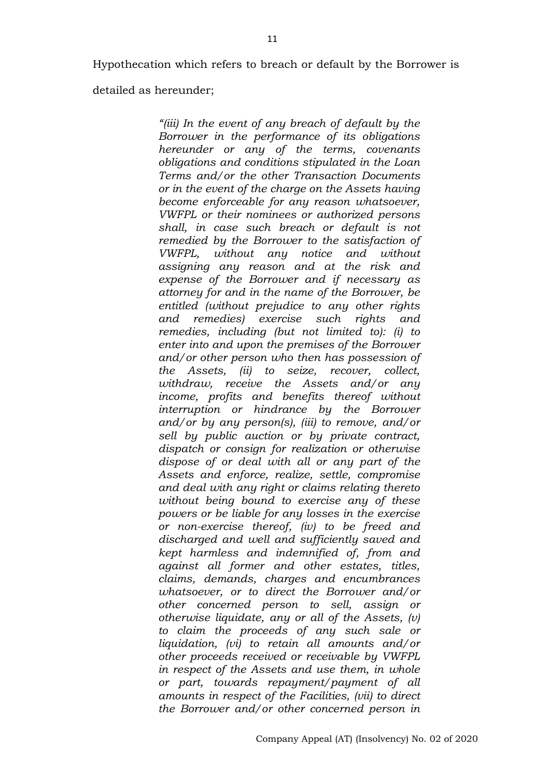Hypothecation which refers to breach or default by the Borrower is

detailed as hereunder;

*"(iii) In the event of any breach of default by the Borrower in the performance of its obligations hereunder or any of the terms, covenants obligations and conditions stipulated in the Loan Terms and/or the other Transaction Documents or in the event of the charge on the Assets having become enforceable for any reason whatsoever, VWFPL or their nominees or authorized persons shall, in case such breach or default is not remedied by the Borrower to the satisfaction of VWFPL, without any notice and without assigning any reason and at the risk and expense of the Borrower and if necessary as attorney for and in the name of the Borrower, be entitled (without prejudice to any other rights and remedies) exercise such rights and remedies, including (but not limited to): (i) to enter into and upon the premises of the Borrower and/or other person who then has possession of the Assets, (ii) to seize, recover, collect, withdraw, receive the Assets and/or any income, profits and benefits thereof without interruption or hindrance by the Borrower and/or by any person(s), (iii) to remove, and/or sell by public auction or by private contract, dispatch or consign for realization or otherwise dispose of or deal with all or any part of the Assets and enforce, realize, settle, compromise and deal with any right or claims relating thereto without being bound to exercise any of these powers or be liable for any losses in the exercise or non-exercise thereof, (iv) to be freed and discharged and well and sufficiently saved and kept harmless and indemnified of, from and against all former and other estates, titles, claims, demands, charges and encumbrances whatsoever, or to direct the Borrower and/or other concerned person to sell, assign or otherwise liquidate, any or all of the Assets, (v) to claim the proceeds of any such sale or liquidation, (vi) to retain all amounts and/or other proceeds received or receivable by VWFPL in respect of the Assets and use them, in whole or part, towards repayment/payment of all amounts in respect of the Facilities, (vii) to direct the Borrower and/or other concerned person in*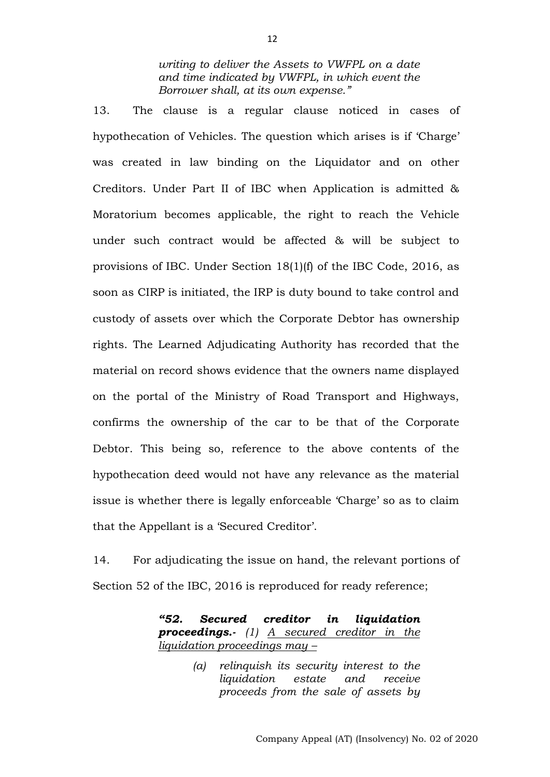*writing to deliver the Assets to VWFPL on a date and time indicated by VWFPL, in which event the Borrower shall, at its own expense."*

13. The clause is a regular clause noticed in cases of hypothecation of Vehicles. The question which arises is if 'Charge' was created in law binding on the Liquidator and on other Creditors. Under Part II of IBC when Application is admitted & Moratorium becomes applicable, the right to reach the Vehicle under such contract would be affected & will be subject to provisions of IBC. Under Section 18(1)(f) of the IBC Code, 2016, as soon as CIRP is initiated, the IRP is duty bound to take control and custody of assets over which the Corporate Debtor has ownership rights. The Learned Adjudicating Authority has recorded that the material on record shows evidence that the owners name displayed on the portal of the Ministry of Road Transport and Highways, confirms the ownership of the car to be that of the Corporate Debtor. This being so, reference to the above contents of the hypothecation deed would not have any relevance as the material issue is whether there is legally enforceable 'Charge' so as to claim that the Appellant is a 'Secured Creditor'.

14. For adjudicating the issue on hand, the relevant portions of Section 52 of the IBC, 2016 is reproduced for ready reference;

> *"52. Secured creditor in liquidation proceedings.- (1) A secured creditor in the liquidation proceedings may –*

> > *(a) relinquish its security interest to the liquidation estate and receive proceeds from the sale of assets by*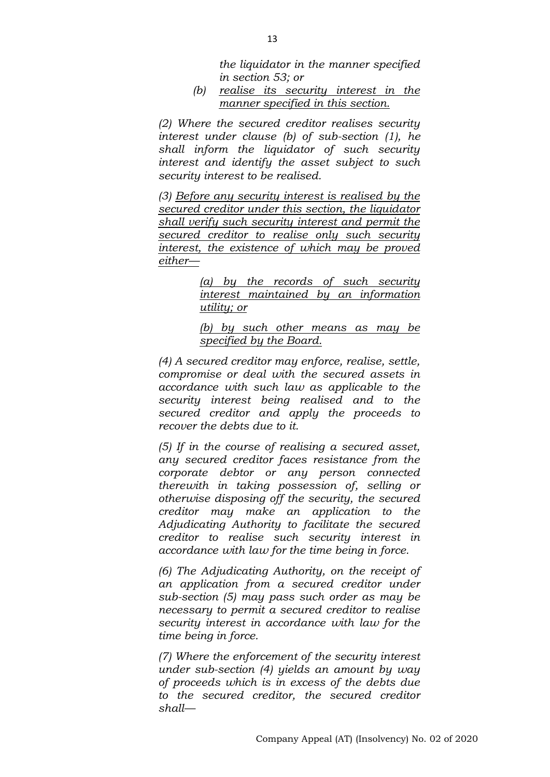*the liquidator in the manner specified in section 53; or*

*(b) realise its security interest in the manner specified in this section.*

*(2) Where the secured creditor realises security interest under clause (b) of sub-section (1), he shall inform the liquidator of such security interest and identify the asset subject to such security interest to be realised.*

*(3) Before any security interest is realised by the secured creditor under this section, the liquidator shall verify such security interest and permit the secured creditor to realise only such security interest, the existence of which may be proved either—*

> *(a) by the records of such security interest maintained by an information utility; or*

> *(b) by such other means as may be specified by the Board.*

*(4) A secured creditor may enforce, realise, settle, compromise or deal with the secured assets in accordance with such law as applicable to the security interest being realised and to the secured creditor and apply the proceeds to recover the debts due to it.*

*(5) If in the course of realising a secured asset, any secured creditor faces resistance from the corporate debtor or any person connected therewith in taking possession of, selling or otherwise disposing off the security, the secured creditor may make an application to the Adjudicating Authority to facilitate the secured creditor to realise such security interest in accordance with law for the time being in force.*

*(6) The Adjudicating Authority, on the receipt of an application from a secured creditor under sub-section (5) may pass such order as may be necessary to permit a secured creditor to realise security interest in accordance with law for the time being in force.*

*(7) Where the enforcement of the security interest under sub-section (4) yields an amount by way of proceeds which is in excess of the debts due to the secured creditor, the secured creditor shall—*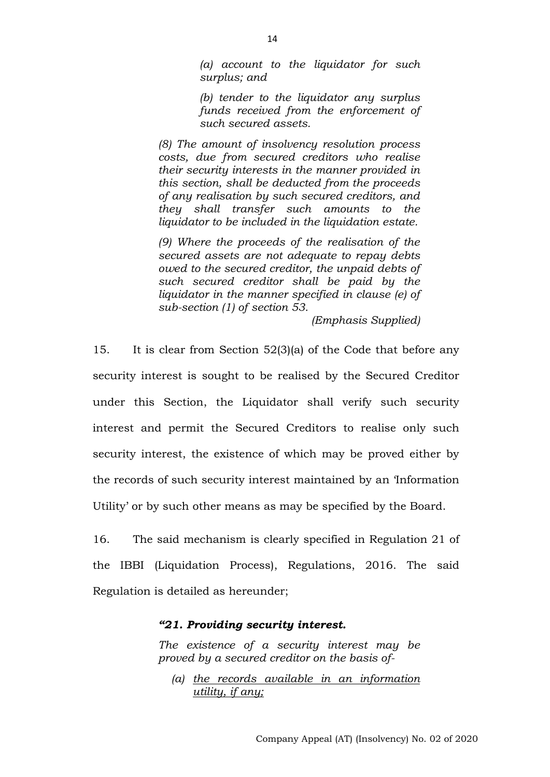*(a) account to the liquidator for such surplus; and*

*(b) tender to the liquidator any surplus funds received from the enforcement of such secured assets.*

*(8) The amount of insolvency resolution process costs, due from secured creditors who realise their security interests in the manner provided in this section, shall be deducted from the proceeds of any realisation by such secured creditors, and they shall transfer such amounts to the liquidator to be included in the liquidation estate.*

*(9) Where the proceeds of the realisation of the secured assets are not adequate to repay debts owed to the secured creditor, the unpaid debts of such secured creditor shall be paid by the liquidator in the manner specified in clause (e) of sub-section (1) of section 53.*

*(Emphasis Supplied)*

15. It is clear from Section 52(3)(a) of the Code that before any security interest is sought to be realised by the Secured Creditor under this Section, the Liquidator shall verify such security interest and permit the Secured Creditors to realise only such security interest, the existence of which may be proved either by the records of such security interest maintained by an 'Information Utility' or by such other means as may be specified by the Board.

16. The said mechanism is clearly specified in Regulation 21 of the IBBI (Liquidation Process), Regulations, 2016. The said Regulation is detailed as hereunder;

#### *"21. Providing security interest.*

*The existence of a security interest may be proved by a secured creditor on the basis of-*

*(a) the records available in an information utility, if any;*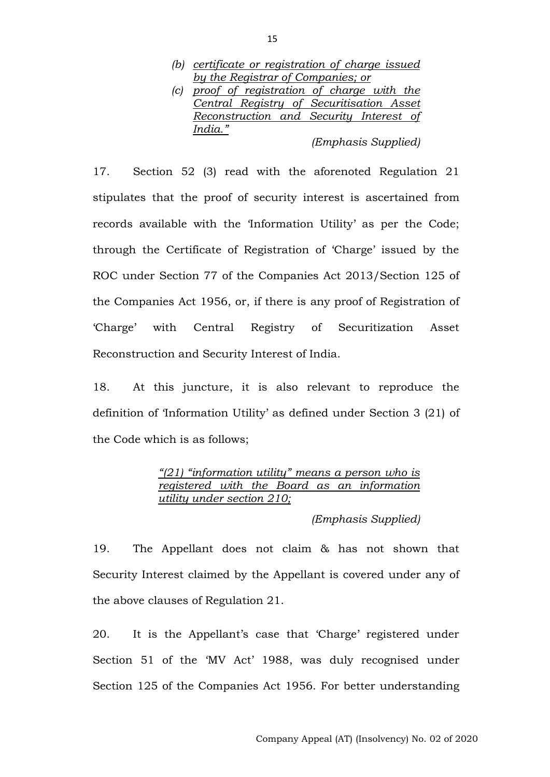- *(b) certificate or registration of charge issued by the Registrar of Companies; or*
- *(c) proof of registration of charge with the Central Registry of Securitisation Asset Reconstruction and Security Interest of India."*

*(Emphasis Supplied)*

17. Section 52 (3) read with the aforenoted Regulation 21 stipulates that the proof of security interest is ascertained from records available with the 'Information Utility' as per the Code; through the Certificate of Registration of 'Charge' issued by the ROC under Section 77 of the Companies Act 2013/Section 125 of the Companies Act 1956, or, if there is any proof of Registration of 'Charge' with Central Registry of Securitization Asset Reconstruction and Security Interest of India.

18. At this juncture, it is also relevant to reproduce the definition of 'Information Utility' as defined under Section 3 (21) of the Code which is as follows;

> *"(21) "information utility" means a person who is registered with the Board as an information utility under section 210;*

> > *(Emphasis Supplied)*

19. The Appellant does not claim & has not shown that Security Interest claimed by the Appellant is covered under any of the above clauses of Regulation 21.

20. It is the Appellant's case that 'Charge' registered under Section 51 of the 'MV Act' 1988, was duly recognised under Section 125 of the Companies Act 1956. For better understanding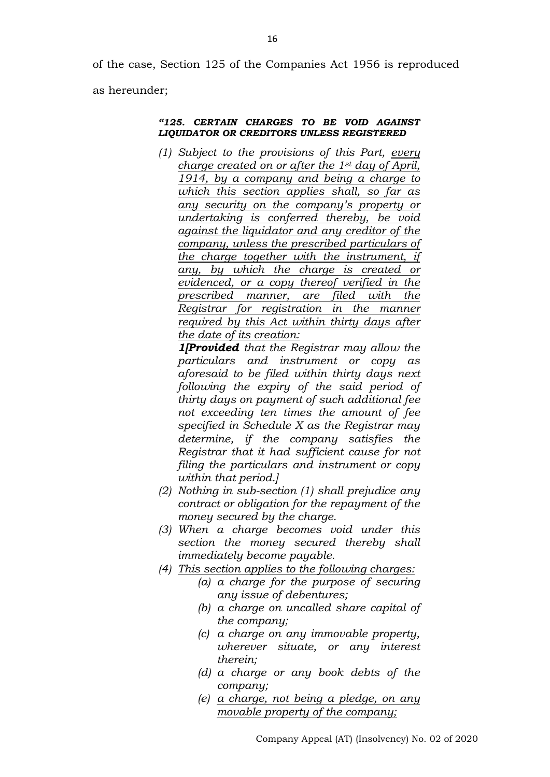of the case, Section 125 of the Companies Act 1956 is reproduced as hereunder;

#### *"125. CERTAIN CHARGES TO BE VOID AGAINST LIQUIDATOR OR CREDITORS UNLESS REGISTERED*

*(1) Subject to the provisions of this Part, every charge created on or after the 1st day of April, 1914, by a company and being a charge to which this section applies shall, so far as any security on the company's property or undertaking is conferred thereby, be void against the liquidator and any creditor of the company, unless the prescribed particulars of the charge together with the instrument, if any, by which the charge is created or evidenced, or a copy thereof verified in the prescribed manner, are filed with the Registrar for registration in the manner required by this Act within thirty days after the date of its creation:*

*1[Provided that the Registrar may allow the particulars and instrument or copy as aforesaid to be filed within thirty days next following the expiry of the said period of thirty days on payment of such additional fee not exceeding ten times the amount of fee specified in Schedule X as the Registrar may determine, if the company satisfies the Registrar that it had sufficient cause for not filing the particulars and instrument or copy within that period.]*

- *(2) Nothing in sub-section (1) shall prejudice any contract or obligation for the repayment of the money secured by the charge.*
- *(3) When a charge becomes void under this section the money secured thereby shall immediately become payable.*
- *(4) This section applies to the following charges:*
	- *(a) a charge for the purpose of securing any issue of debentures;*
	- *(b) a charge on uncalled share capital of the company;*
	- *(c) a charge on any immovable property, wherever situate, or any interest therein;*
	- *(d) a charge or any book debts of the company;*
	- *(e) a charge, not being a pledge, on any movable property of the company;*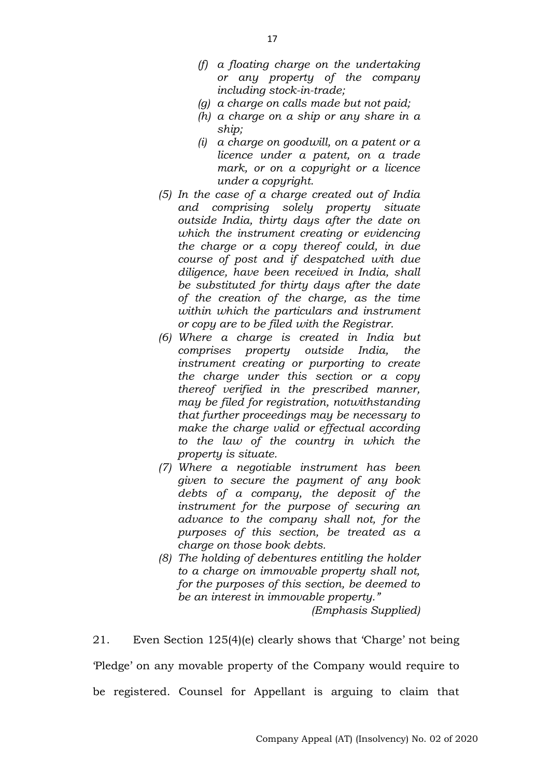- *(f) a floating charge on the undertaking or any property of the company including stock-in-trade;*
- *(g) a charge on calls made but not paid;*
- *(h) a charge on a ship or any share in a ship;*
- *(i) a charge on goodwill, on a patent or a licence under a patent, on a trade mark, or on a copyright or a licence under a copyright.*
- *(5) In the case of a charge created out of India and comprising solely property situate outside India, thirty days after the date on which the instrument creating or evidencing the charge or a copy thereof could, in due course of post and if despatched with due diligence, have been received in India, shall be substituted for thirty days after the date of the creation of the charge, as the time within which the particulars and instrument or copy are to be filed with the Registrar.*
- *(6) Where a charge is created in India but comprises property outside India, the instrument creating or purporting to create the charge under this section or a copy thereof verified in the prescribed manner, may be filed for registration, notwithstanding that further proceedings may be necessary to make the charge valid or effectual according to the law of the country in which the property is situate.*
- *(7) Where a negotiable instrument has been given to secure the payment of any book debts of a company, the deposit of the instrument for the purpose of securing an advance to the company shall not, for the purposes of this section, be treated as a charge on those book debts.*
- *(8) The holding of debentures entitling the holder to a charge on immovable property shall not, for the purposes of this section, be deemed to be an interest in immovable property."*

*(Emphasis Supplied)*

21. Even Section 125(4)(e) clearly shows that 'Charge' not being 'Pledge' on any movable property of the Company would require to be registered. Counsel for Appellant is arguing to claim that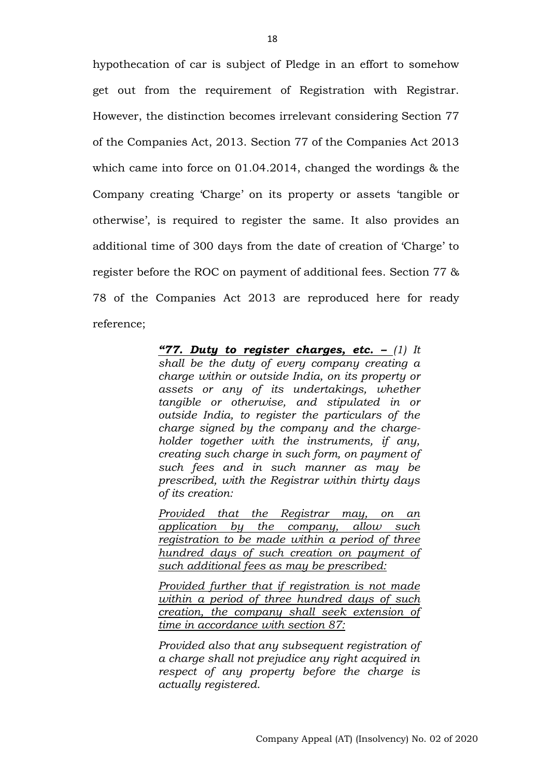hypothecation of car is subject of Pledge in an effort to somehow get out from the requirement of Registration with Registrar. However, the distinction becomes irrelevant considering Section 77 of the Companies Act, 2013. Section 77 of the Companies Act 2013 which came into force on 01.04.2014, changed the wordings & the Company creating 'Charge' on its property or assets 'tangible or otherwise', is required to register the same. It also provides an additional time of 300 days from the date of creation of 'Charge' to register before the ROC on payment of additional fees. Section 77 & 78 of the Companies Act 2013 are reproduced here for ready reference;

> *"77. Duty to register charges, etc. – (1) It shall be the duty of every company creating a charge within or outside India, on its property or assets or any of its undertakings, whether tangible or otherwise, and stipulated in or outside India, to register the particulars of the charge signed by the company and the chargeholder together with the instruments, if any, creating such charge in such form, on payment of such fees and in such manner as may be prescribed, with the Registrar within thirty days of its creation:*

> *Provided that the Registrar may, on an application by the company, allow such registration to be made within a period of three hundred days of such creation on payment of such additional fees as may be prescribed:*

> *Provided further that if registration is not made within a period of three hundred days of such creation, the company shall seek extension of time in accordance with section 87:*

> *Provided also that any subsequent registration of a charge shall not prejudice any right acquired in respect of any property before the charge is actually registered.*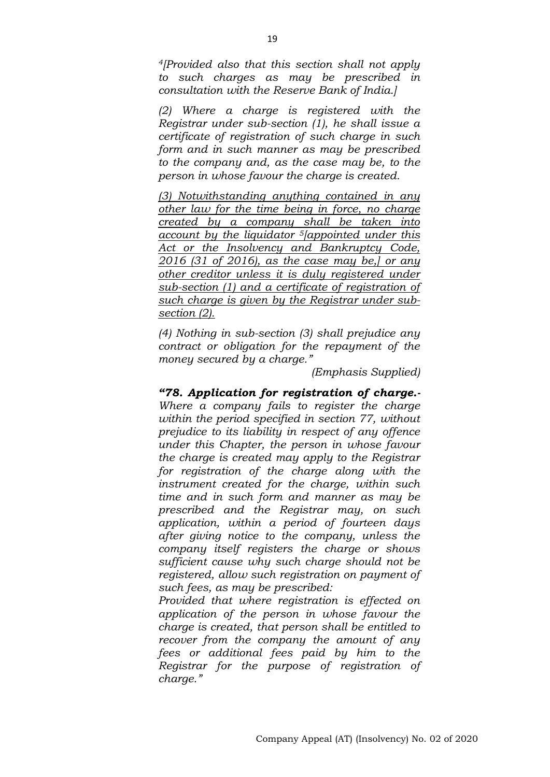*<sup>4</sup>[Provided also that this section shall not apply to such charges as may be prescribed in consultation with the Reserve Bank of India.]*

*(2) Where a charge is registered with the Registrar under sub-section (1), he shall issue a certificate of registration of such charge in such form and in such manner as may be prescribed to the company and, as the case may be, to the person in whose favour the charge is created.*

*(3) Notwithstanding anything contained in any other law for the time being in force, no charge created by a company shall be taken into account by the liquidator 5[appointed under this Act or the Insolvency and Bankruptcy Code, 2016 (31 of 2016), as the case may be,] or any other creditor unless it is duly registered under sub-section (1) and a certificate of registration of such charge is given by the Registrar under subsection (2).*

*(4) Nothing in sub-section (3) shall prejudice any contract or obligation for the repayment of the money secured by a charge."*

*(Emphasis Supplied)*

*"78. Application for registration of charge.- Where a company fails to register the charge within the period specified in section 77, without prejudice to its liability in respect of any offence under this Chapter, the person in whose favour the charge is created may apply to the Registrar for registration of the charge along with the instrument created for the charge, within such time and in such form and manner as may be prescribed and the Registrar may, on such application, within a period of fourteen days after giving notice to the company, unless the company itself registers the charge or shows sufficient cause why such charge should not be registered, allow such registration on payment of such fees, as may be prescribed:*

*Provided that where registration is effected on application of the person in whose favour the charge is created, that person shall be entitled to recover from the company the amount of any fees or additional fees paid by him to the Registrar for the purpose of registration of charge."*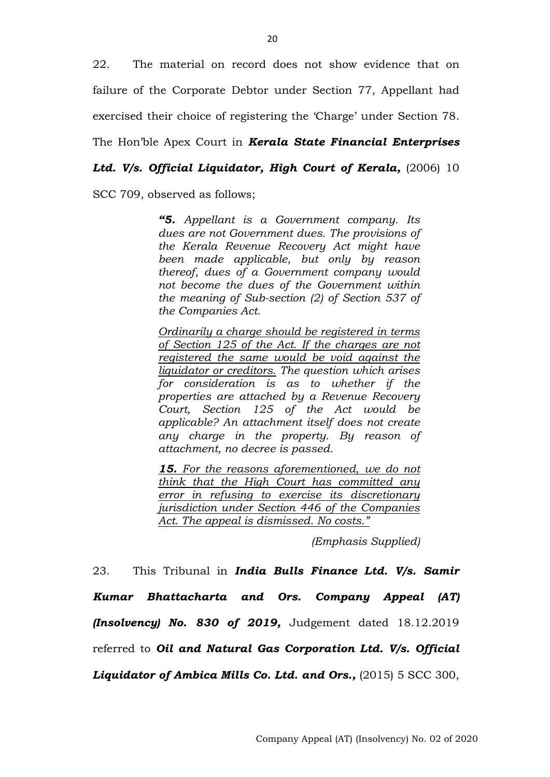22. The material on record does not show evidence that on failure of the Corporate Debtor under Section 77, Appellant had exercised their choice of registering the 'Charge' under Section 78.

The Hon'ble Apex Court in *Kerala State Financial Enterprises* 

Ltd. V/s. Official Liquidator, High Court of Kerala, (2006) 10

SCC 709, observed as follows;

*"5. Appellant is a Government company. Its dues are not Government dues. The provisions of the Kerala Revenue Recovery Act might have been made applicable, but only by reason thereof, dues of a Government company would not become the dues of the Government within the meaning of Sub-section (2) of Section 537 of the Companies Act.*

*Ordinarily a charge should be registered in terms of Section 125 of the Act. If the charges are not registered the same would be void against the liquidator or creditors. The question which arises for consideration is as to whether if the properties are attached by a Revenue Recovery Court, Section 125 of the Act would be applicable? An attachment itself does not create any charge in the property. By reason of attachment, no decree is passed.*

*15. For the reasons aforementioned, we do not think that the High Court has committed any error in refusing to exercise its discretionary jurisdiction under Section 446 of the Companies Act. The appeal is dismissed. No costs."*

*(Emphasis Supplied)*

23. This Tribunal in *India Bulls Finance Ltd. V/s. Samir Kumar Bhattacharta and Ors. Company Appeal (AT) (Insolvency) No. 830 of 2019,* Judgement dated 18.12.2019 referred to *Oil and Natural Gas Corporation Ltd. V/s. Official*  Liquidator of Ambica Mills Co. Ltd. and Ors., (2015) 5 SCC 300,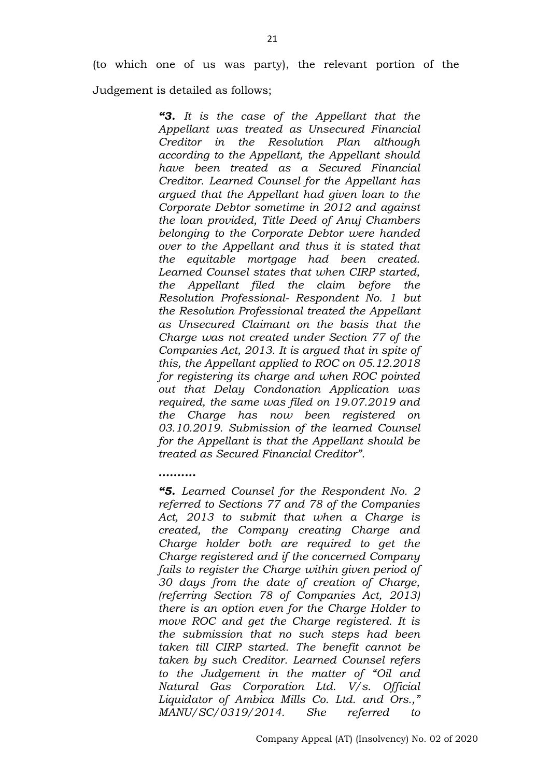(to which one of us was party), the relevant portion of the

Judgement is detailed as follows;

*..........*

*"3. It is the case of the Appellant that the Appellant was treated as Unsecured Financial Creditor in the Resolution Plan although according to the Appellant, the Appellant should have been treated as a Secured Financial Creditor. Learned Counsel for the Appellant has argued that the Appellant had given loan to the Corporate Debtor sometime in 2012 and against the loan provided, Title Deed of Anuj Chambers belonging to the Corporate Debtor were handed over to the Appellant and thus it is stated that the equitable mortgage had been created. Learned Counsel states that when CIRP started, the Appellant filed the claim before the Resolution Professional- Respondent No. 1 but the Resolution Professional treated the Appellant as Unsecured Claimant on the basis that the Charge was not created under Section 77 of the Companies Act, 2013. It is argued that in spite of this, the Appellant applied to ROC on 05.12.2018 for registering its charge and when ROC pointed out that Delay Condonation Application was required, the same was filed on 19.07.2019 and the Charge has now been registered on 03.10.2019. Submission of the learned Counsel for the Appellant is that the Appellant should be treated as Secured Financial Creditor".*

*"5. Learned Counsel for the Respondent No. 2 referred to Sections 77 and 78 of the Companies Act, 2013 to submit that when a Charge is created, the Company creating Charge and Charge holder both are required to get the Charge registered and if the concerned Company fails to register the Charge within given period of 30 days from the date of creation of Charge, (referring Section 78 of Companies Act, 2013) there is an option even for the Charge Holder to move ROC and get the Charge registered. It is the submission that no such steps had been taken till CIRP started. The benefit cannot be taken by such Creditor. Learned Counsel refers to the Judgement in the matter of "Oil and Natural Gas Corporation Ltd. V/s. Official Liquidator of Ambica Mills Co. Ltd. and Ors.," MANU/SC/0319/2014. She referred to*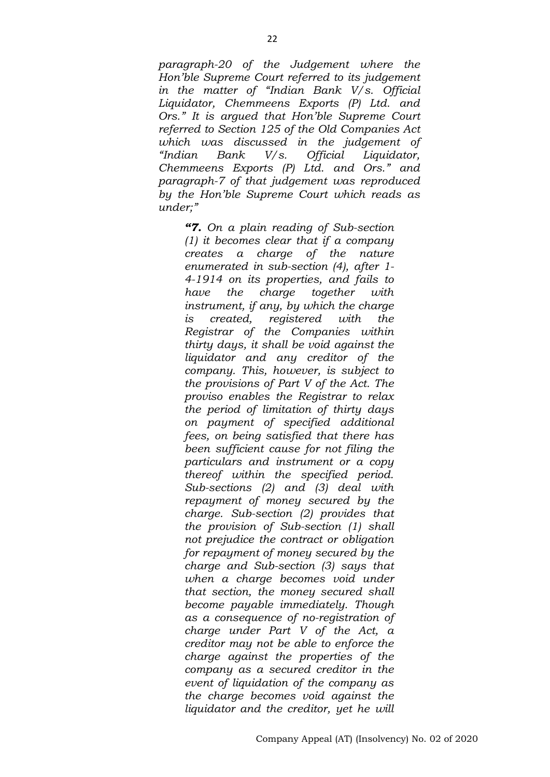*paragraph-20 of the Judgement where the Hon'ble Supreme Court referred to its judgement in the matter of "Indian Bank V/s. Official Liquidator, Chemmeens Exports (P) Ltd. and Ors." It is argued that Hon'ble Supreme Court referred to Section 125 of the Old Companies Act which was discussed in the judgement of "Indian Bank V/s. Official Liquidator, Chemmeens Exports (P) Ltd. and Ors." and paragraph-7 of that judgement was reproduced by the Hon'ble Supreme Court which reads as under;"*

*"7. On a plain reading of Sub-section (1) it becomes clear that if a company creates a charge of the nature enumerated in sub-section (4), after 1- 4-1914 on its properties, and fails to have the charge together with instrument, if any, by which the charge is created, registered with the Registrar of the Companies within thirty days, it shall be void against the liquidator and any creditor of the company. This, however, is subject to the provisions of Part V of the Act. The proviso enables the Registrar to relax the period of limitation of thirty days on payment of specified additional fees, on being satisfied that there has been sufficient cause for not filing the particulars and instrument or a copy thereof within the specified period. Sub-sections (2) and (3) deal with repayment of money secured by the charge. Sub-section (2) provides that the provision of Sub-section (1) shall not prejudice the contract or obligation for repayment of money secured by the charge and Sub-section (3) says that when a charge becomes void under that section, the money secured shall become payable immediately. Though as a consequence of no-registration of charge under Part V of the Act, a creditor may not be able to enforce the charge against the properties of the company as a secured creditor in the event of liquidation of the company as the charge becomes void against the liquidator and the creditor, yet he will*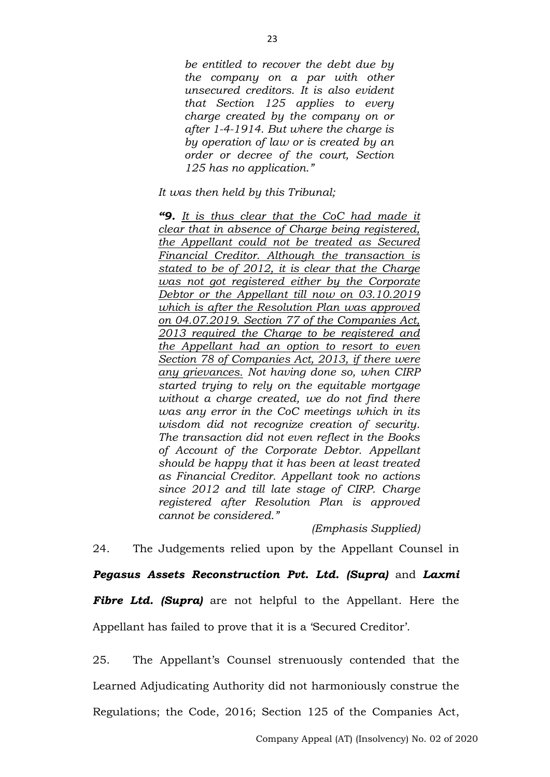*be entitled to recover the debt due by the company on a par with other unsecured creditors. It is also evident that Section 125 applies to every charge created by the company on or after 1-4-1914. But where the charge is by operation of law or is created by an order or decree of the court, Section 125 has no application."*

*It was then held by this Tribunal;*

*"9. It is thus clear that the CoC had made it clear that in absence of Charge being registered, the Appellant could not be treated as Secured Financial Creditor. Although the transaction is stated to be of 2012, it is clear that the Charge was not got registered either by the Corporate Debtor or the Appellant till now on 03.10.2019 which is after the Resolution Plan was approved on 04.07.2019. Section 77 of the Companies Act, 2013 required the Charge to be registered and the Appellant had an option to resort to even Section 78 of Companies Act, 2013, if there were any grievances. Not having done so, when CIRP started trying to rely on the equitable mortgage without a charge created, we do not find there was any error in the CoC meetings which in its wisdom did not recognize creation of security. The transaction did not even reflect in the Books of Account of the Corporate Debtor. Appellant should be happy that it has been at least treated as Financial Creditor. Appellant took no actions since 2012 and till late stage of CIRP. Charge registered after Resolution Plan is approved cannot be considered."*

#### *(Emphasis Supplied)*

24. The Judgements relied upon by the Appellant Counsel in

*Pegasus Assets Reconstruction Pvt. Ltd. (Supra)* and *Laxmi Fibre Ltd. (Supra)* are not helpful to the Appellant. Here the Appellant has failed to prove that it is a 'Secured Creditor'.

25. The Appellant's Counsel strenuously contended that the Learned Adjudicating Authority did not harmoniously construe the Regulations; the Code, 2016; Section 125 of the Companies Act,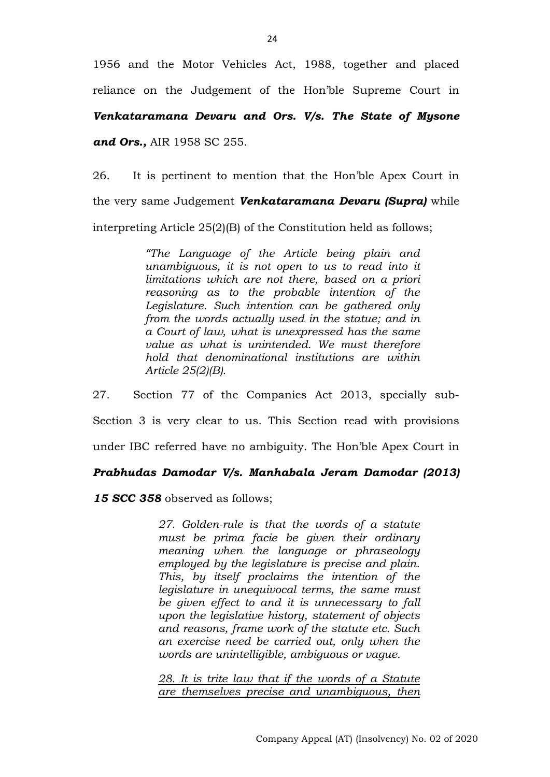1956 and the Motor Vehicles Act, 1988, together and placed reliance on the Judgement of the Hon'ble Supreme Court in

*Venkataramana Devaru and Ors. V/s. The State of Mysone* 

*and Ors.,* AIR 1958 SC 255.

26. It is pertinent to mention that the Hon'ble Apex Court in the very same Judgement *Venkataramana Devaru (Supra)* while interpreting Article 25(2)(B) of the Constitution held as follows;

> *"The Language of the Article being plain and unambiguous, it is not open to us to read into it limitations which are not there, based on a priori reasoning as to the probable intention of the Legislature. Such intention can be gathered only from the words actually used in the statue; and in a Court of law, what is unexpressed has the same value as what is unintended. We must therefore hold that denominational institutions are within Article 25(2)(B).*

27. Section 77 of the Companies Act 2013, specially sub-Section 3 is very clear to us. This Section read with provisions under IBC referred have no ambiguity. The Hon'ble Apex Court in

## *Prabhudas Damodar V/s. Manhabala Jeram Damodar (2013)*

*15 SCC 358* observed as follows;

*27. Golden-rule is that the words of a statute must be prima facie be given their ordinary meaning when the language or phraseology employed by the legislature is precise and plain. This, by itself proclaims the intention of the legislature in unequivocal terms, the same must be given effect to and it is unnecessary to fall upon the legislative history, statement of objects and reasons, frame work of the statute etc. Such an exercise need be carried out, only when the words are unintelligible, ambiguous or vague.*

*28. It is trite law that if the words of a Statute are themselves precise and unambiguous, then*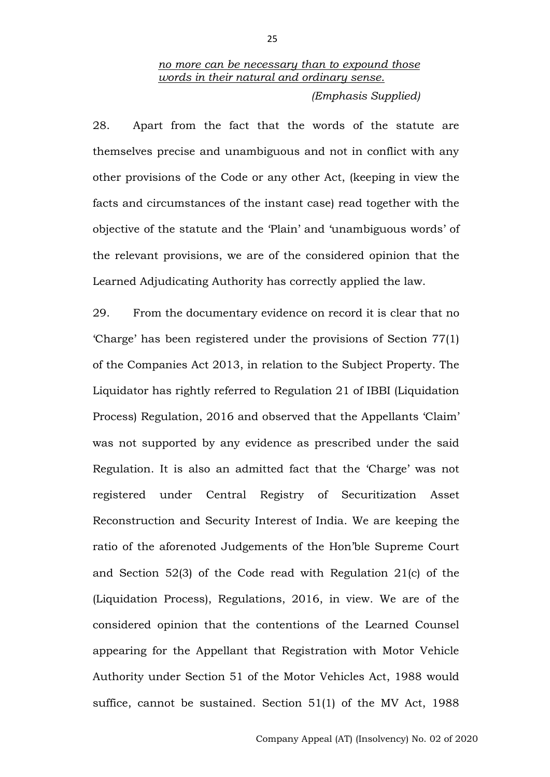# *no more can be necessary than to expound those words in their natural and ordinary sense.*

*(Emphasis Supplied)*

28. Apart from the fact that the words of the statute are themselves precise and unambiguous and not in conflict with any other provisions of the Code or any other Act, (keeping in view the facts and circumstances of the instant case) read together with the objective of the statute and the 'Plain' and 'unambiguous words' of the relevant provisions, we are of the considered opinion that the Learned Adjudicating Authority has correctly applied the law.

29. From the documentary evidence on record it is clear that no 'Charge' has been registered under the provisions of Section 77(1) of the Companies Act 2013, in relation to the Subject Property. The Liquidator has rightly referred to Regulation 21 of IBBI (Liquidation Process) Regulation, 2016 and observed that the Appellants 'Claim' was not supported by any evidence as prescribed under the said Regulation. It is also an admitted fact that the 'Charge' was not registered under Central Registry of Securitization Asset Reconstruction and Security Interest of India. We are keeping the ratio of the aforenoted Judgements of the Hon'ble Supreme Court and Section 52(3) of the Code read with Regulation 21(c) of the (Liquidation Process), Regulations, 2016, in view. We are of the considered opinion that the contentions of the Learned Counsel appearing for the Appellant that Registration with Motor Vehicle Authority under Section 51 of the Motor Vehicles Act, 1988 would suffice, cannot be sustained. Section 51(1) of the MV Act, 1988